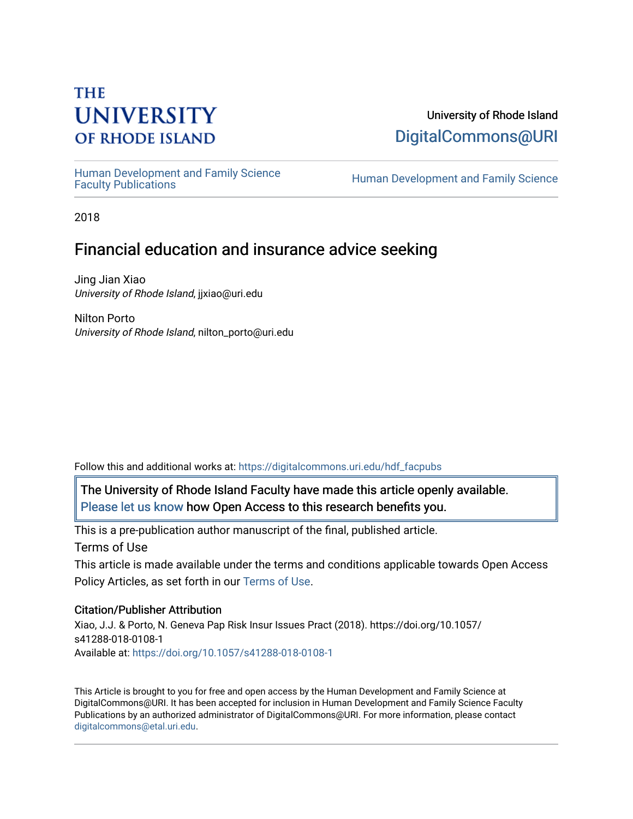# **THE UNIVERSITY OF RHODE ISLAND**

### University of Rhode Island [DigitalCommons@URI](https://digitalcommons.uri.edu/)

Human Development and Family Science<br>Faculty Publications

Human Development and Family Science

2018

## Financial education and insurance advice seeking

Jing Jian Xiao University of Rhode Island, jjxiao@uri.edu

Nilton Porto University of Rhode Island, nilton\_porto@uri.edu

Follow this and additional works at: [https://digitalcommons.uri.edu/hdf\\_facpubs](https://digitalcommons.uri.edu/hdf_facpubs?utm_source=digitalcommons.uri.edu%2Fhdf_facpubs%2F41&utm_medium=PDF&utm_campaign=PDFCoverPages) 

The University of Rhode Island Faculty have made this article openly available. [Please let us know](http://web.uri.edu/library-digital-initiatives/open-access-online-form/) how Open Access to this research benefits you.

This is a pre-publication author manuscript of the final, published article. Terms of Use

This article is made available under the terms and conditions applicable towards Open Access Policy Articles, as set forth in our [Terms of Use](https://digitalcommons.uri.edu/hdf_facpubs/oa_policy_terms.html).

#### Citation/Publisher Attribution

Xiao, J.J. & Porto, N. Geneva Pap Risk Insur Issues Pract (2018). https://doi.org/10.1057/ s41288-018-0108-1 Available at:<https://doi.org/10.1057/s41288-018-0108-1>

This Article is brought to you for free and open access by the Human Development and Family Science at DigitalCommons@URI. It has been accepted for inclusion in Human Development and Family Science Faculty Publications by an authorized administrator of DigitalCommons@URI. For more information, please contact [digitalcommons@etal.uri.edu](mailto:digitalcommons@etal.uri.edu).